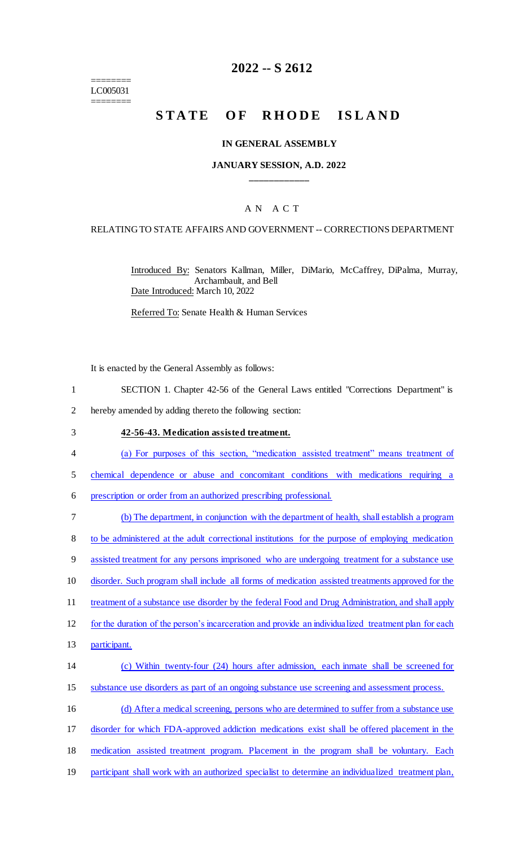======== LC005031 ========

### **2022 -- S 2612**

# STATE OF RHODE ISLAND

#### **IN GENERAL ASSEMBLY**

#### **JANUARY SESSION, A.D. 2022 \_\_\_\_\_\_\_\_\_\_\_\_**

#### A N A C T

#### RELATING TO STATE AFFAIRS AND GOVERNMENT -- CORRECTIONS DEPARTMENT

Introduced By: Senators Kallman, Miller, DiMario, McCaffrey, DiPalma, Murray, Archambault, and Bell Date Introduced: March 10, 2022

Referred To: Senate Health & Human Services

It is enacted by the General Assembly as follows:

- 1 SECTION 1. Chapter 42-56 of the General Laws entitled "Corrections Department" is
- 2 hereby amended by adding thereto the following section:
- 3 **42-56-43. Medication assisted treatment.**
- 4 (a) For purposes of this section, "medication assisted treatment" means treatment of
- 5 chemical dependence or abuse and concomitant conditions with medications requiring a
- 6 prescription or order from an authorized prescribing professional.
- 7 (b) The department, in conjunction with the department of health, shall establish a program 8 to be administered at the adult correctional institutions for the purpose of employing medication 9 assisted treatment for any persons imprisoned who are undergoing treatment for a substance use 10 disorder. Such program shall include all forms of medication assisted treatments approved for the 11 treatment of a substance use disorder by the federal Food and Drug Administration, and shall apply 12 for the duration of the person's incarceration and provide an individualized treatment plan for each 13 participant. 14 (c) Within twenty-four (24) hours after admission, each inmate shall be screened for 15 substance use disorders as part of an ongoing substance use screening and assessment process. 16 (d) After a medical screening, persons who are determined to suffer from a substance use 17 disorder for which FDA-approved addiction medications exist shall be offered placement in the 18 medication assisted treatment program. Placement in the program shall be voluntary. Each
- 19 participant shall work with an authorized specialist to determine an individualized treatment plan,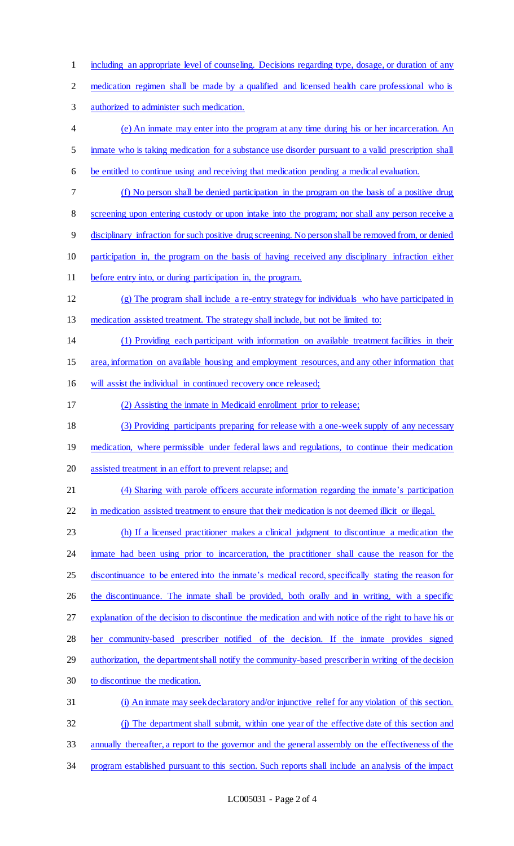including an appropriate level of counseling. Decisions regarding type, dosage, or duration of any medication regimen shall be made by a qualified and licensed health care professional who is authorized to administer such medication. (e) An inmate may enter into the program at any time during his or her incarceration. An inmate who is taking medication for a substance use disorder pursuant to a valid prescription shall be entitled to continue using and receiving that medication pending a medical evaluation. (f) No person shall be denied participation in the program on the basis of a positive drug 8 screening upon entering custody or upon intake into the program; nor shall any person receive a disciplinary infraction for such positive drug screening. No person shall be removed from, or denied participation in, the program on the basis of having received any disciplinary infraction either before entry into, or during participation in, the program. (g) The program shall include a re-entry strategy for individuals who have participated in medication assisted treatment. The strategy shall include, but not be limited to: (1) Providing each participant with information on available treatment facilities in their area, information on available housing and employment resources, and any other information that will assist the individual in continued recovery once released; (2) Assisting the inmate in Medicaid enrollment prior to release; (3) Providing participants preparing for release with a one-week supply of any necessary 19 medication, where permissible under federal laws and regulations, to continue their medication assisted treatment in an effort to prevent relapse; and (4) Sharing with parole officers accurate information regarding the inmate's participation 22 in medication assisted treatment to ensure that their medication is not deemed illicit or illegal. (h) If a licensed practitioner makes a clinical judgment to discontinue a medication the inmate had been using prior to incarceration, the practitioner shall cause the reason for the 25 discontinuance to be entered into the inmate's medical record, specifically stating the reason for 26 the discontinuance. The inmate shall be provided, both orally and in writing, with a specific explanation of the decision to discontinue the medication and with notice of the right to have his or her community-based prescriber notified of the decision. If the inmate provides signed 29 authorization, the department shall notify the community-based prescriber in writing of the decision to discontinue the medication. (i) An inmate may seek declaratory and/or injunctive relief for any violation of this section. 32 (j) The department shall submit, within one year of the effective date of this section and annually thereafter, a report to the governor and the general assembly on the effectiveness of the program established pursuant to this section. Such reports shall include an analysis of the impact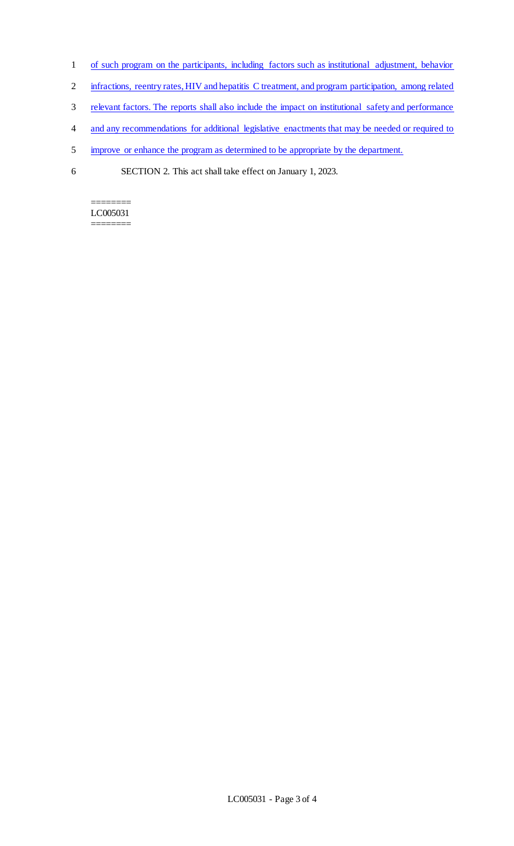- 1 of such program on the participants, including factors such as institutional adjustment, behavior
- 2 infractions, reentry rates, HIV and hepatitis C treatment, and program participation, among related
- 3 relevant factors. The reports shall also include the impact on institutional safety and performance
- 4 and any recommendations for additional legislative enactments that may be needed or required to
- 5 improve or enhance the program as determined to be appropriate by the department.
- 6 SECTION 2. This act shall take effect on January 1, 2023.

======== LC005031 ========